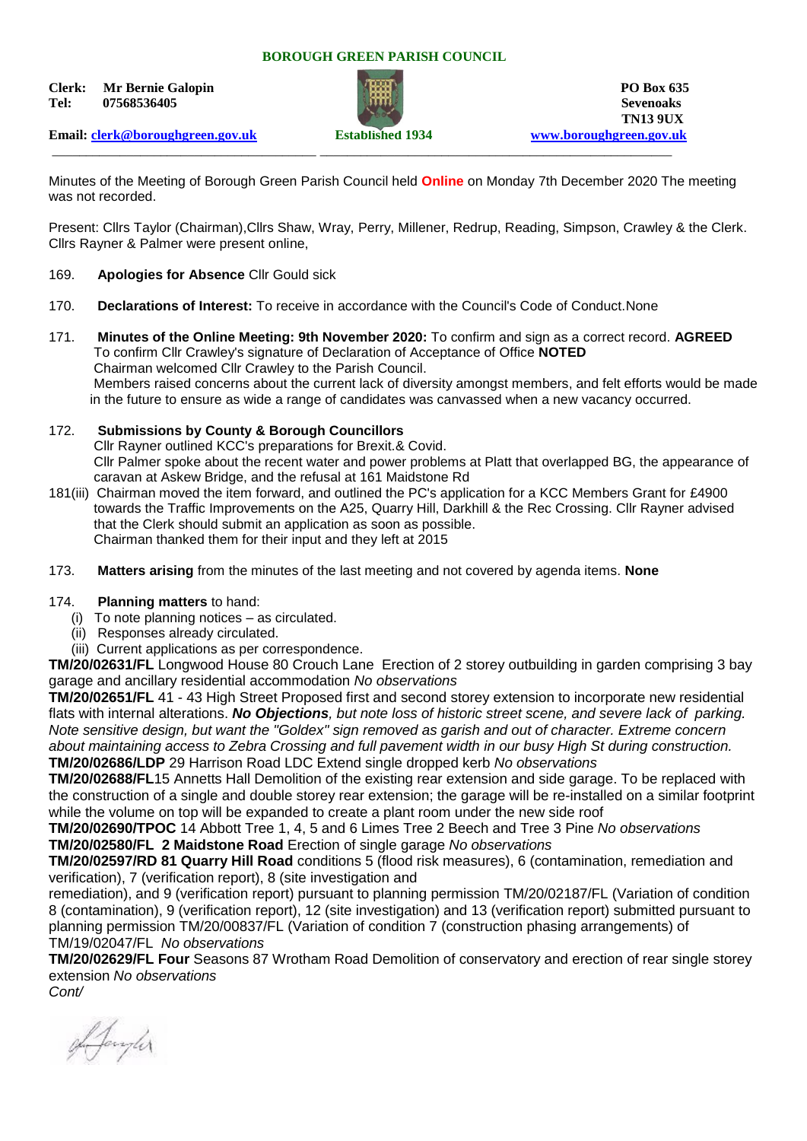#### **BOROUGH GREEN PARISH COUNCIL**

**Clerk:** Mr Bernie Galopin **PO Box 635 Tel: 07568536405 Sevenoaks**



\_\_\_\_\_\_\_\_\_\_\_\_\_\_\_\_\_\_\_\_\_\_\_\_\_\_\_\_\_\_\_\_\_\_\_\_\_\_\_ \_\_\_\_\_\_\_\_\_\_\_\_\_\_\_\_\_\_\_\_\_\_\_\_\_\_\_\_\_\_\_\_\_\_\_\_\_\_\_\_\_\_\_\_\_\_\_\_\_\_\_\_

**TN13 9UX** 

**Email: [clerk@boroughgreen.gov.uk](mailto:clerk@boroughgreen.gov.uk) Established 1934 [www.boroughgreen.gov.uk](http://www.boroughgreen.gov.uk/)**

Minutes of the Meeting of Borough Green Parish Council held **Online** on Monday 7th December 2020 The meeting was not recorded.

Present: Cllrs Taylor (Chairman),Cllrs Shaw, Wray, Perry, Millener, Redrup, Reading, Simpson, Crawley & the Clerk. Cllrs Rayner & Palmer were present online,

- 169. **Apologies for Absence** Cllr Gould sick
- 170. **Declarations of Interest:** To receive in accordance with the Council's Code of Conduct.None
- 171. **Minutes of the Online Meeting: 9th November 2020:** To confirm and sign as a correct record. **AGREED** To confirm Cllr Crawley's signature of Declaration of Acceptance of Office **NOTED** Chairman welcomed Cllr Crawley to the Parish Council. Members raised concerns about the current lack of diversity amongst members, and felt efforts would be made in the future to ensure as wide a range of candidates was canvassed when a new vacancy occurred.
- 172. **Submissions by County & Borough Councillors**

 Cllr Rayner outlined KCC's preparations for Brexit.& Covid. Cllr Palmer spoke about the recent water and power problems at Platt that overlapped BG, the appearance of caravan at Askew Bridge, and the refusal at 161 Maidstone Rd

- 181(iii) Chairman moved the item forward, and outlined the PC's application for a KCC Members Grant for £4900 towards the Traffic Improvements on the A25, Quarry Hill, Darkhill & the Rec Crossing. Cllr Rayner advised that the Clerk should submit an application as soon as possible. Chairman thanked them for their input and they left at 2015
- 173. **Matters arising** from the minutes of the last meeting and not covered by agenda items. **None**

### 174. **Planning matters** to hand:

- (i) To note planning notices as circulated.
- (ii) Responses already circulated.
- (iii) Current applications as per correspondence.

**TM/20/02631/FL** Longwood House 80 Crouch Lane Erection of 2 storey outbuilding in garden comprising 3 bay garage and ancillary residential accommodation *No observations*

**TM/20/02651/FL** 41 - 43 High Street Proposed first and second storey extension to incorporate new residential flats with internal alterations. *No Objections, but note loss of historic street scene, and severe lack of parking. Note sensitive design, but want the "Goldex" sign removed as garish and out of character. Extreme concern about maintaining access to Zebra Crossing and full pavement width in our busy High St during construction.* **TM/20/02686/LDP** 29 Harrison Road LDC Extend single dropped kerb *No observations*

**TM/20/02688/FL**15 Annetts Hall Demolition of the existing rear extension and side garage. To be replaced with the construction of a single and double storey rear extension; the garage will be re-installed on a similar footprint while the volume on top will be expanded to create a plant room under the new side roof

**TM/20/02690/TPOC** 14 Abbott Tree 1, 4, 5 and 6 Limes Tree 2 Beech and Tree 3 Pine *No observations* **TM/20/02580/FL 2 Maidstone Road** Erection of single garage *No observations*

**TM/20/02597/RD 81 Quarry Hill Road** conditions 5 (flood risk measures), 6 (contamination, remediation and verification), 7 (verification report), 8 (site investigation and

remediation), and 9 (verification report) pursuant to planning permission TM/20/02187/FL (Variation of condition 8 (contamination), 9 (verification report), 12 (site investigation) and 13 (verification report) submitted pursuant to planning permission TM/20/00837/FL (Variation of condition 7 (construction phasing arrangements) of TM/19/02047/FL *No observations*

**TM/20/02629/FL Four** Seasons 87 Wrotham Road Demolition of conservatory and erection of rear single storey extension *No observations Cont/*

Afangler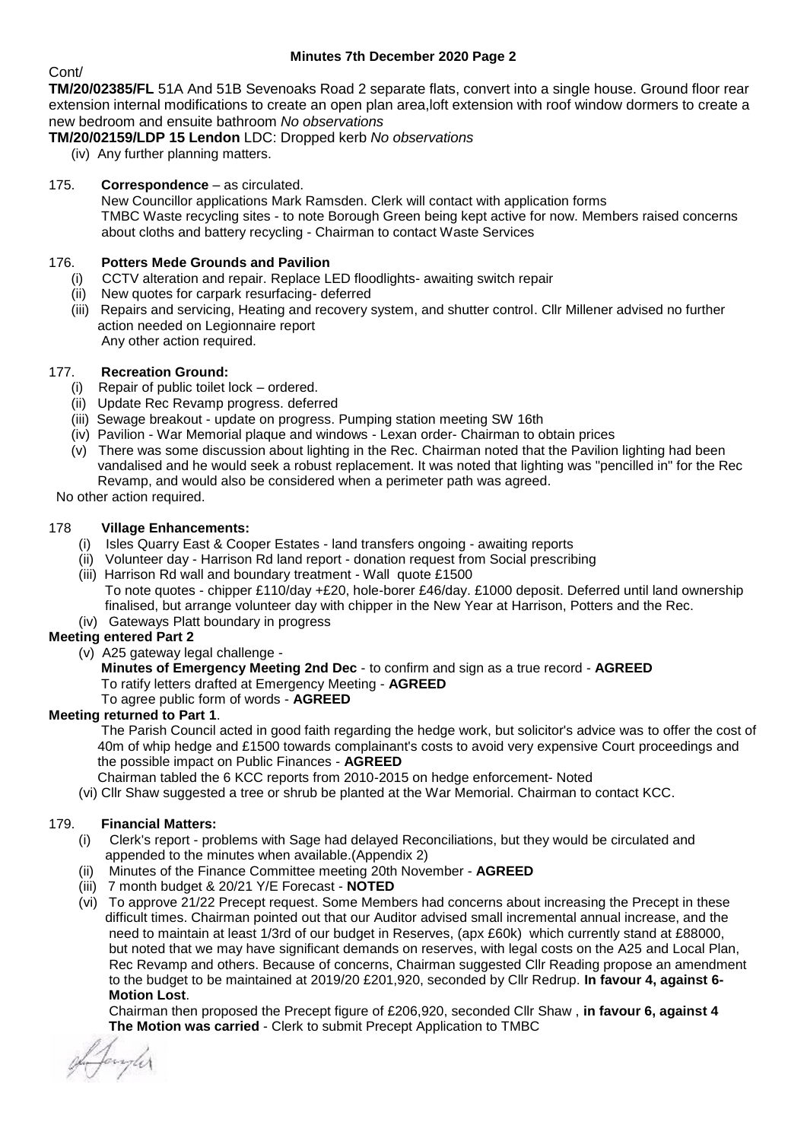## **Minutes 7th December 2020 Page 2**

## Cont/

**TM/20/02385/FL** 51A And 51B Sevenoaks Road 2 separate flats, convert into a single house. Ground floor rear extension internal modifications to create an open plan area,loft extension with roof window dormers to create a new bedroom and ensuite bathroom *No observations*

- **TM/20/02159/LDP 15 Lendon** LDC: Dropped kerb *No observations*
	- (iv) Any further planning matters.

## 175. **Correspondence** – as circulated.

 New Councillor applications Mark Ramsden. Clerk will contact with application forms TMBC Waste recycling sites - to note Borough Green being kept active for now. Members raised concerns about cloths and battery recycling - Chairman to contact Waste Services

## 176. **Potters Mede Grounds and Pavilion**

- (i) CCTV alteration and repair. Replace LED floodlights- awaiting switch repair
- (ii) New quotes for carpark resurfacing- deferred
- (iii) Repairs and servicing, Heating and recovery system, and shutter control. Cllr Millener advised no further action needed on Legionnaire report Any other action required.

## 177. **Recreation Ground:**

- Repair of public toilet lock ordered.
- (ii) Update Rec Revamp progress. deferred
- (iii) Sewage breakout update on progress. Pumping station meeting SW 16th
- (iv) Pavilion War Memorial plaque and windows Lexan order- Chairman to obtain prices
- (v) There was some discussion about lighting in the Rec. Chairman noted that the Pavilion lighting had been vandalised and he would seek a robust replacement. It was noted that lighting was "pencilled in" for the Rec Revamp, and would also be considered when a perimeter path was agreed.

### No other action required.

## 178 **Village Enhancements:**

- (i) Isles Quarry East & Cooper Estates land transfers ongoing awaiting reports
- (ii) Volunteer day Harrison Rd land report donation request from Social prescribing
- (iii) Harrison Rd wall and boundary treatment Wall quote £1500 To note quotes - chipper £110/day +£20, hole-borer £46/day. £1000 deposit. Deferred until land ownership finalised, but arrange volunteer day with chipper in the New Year at Harrison, Potters and the Rec. (iv) Gateways Platt boundary in progress

# **Meeting entered Part 2**

(v) A25 gateway legal challenge -

 **Minutes of Emergency Meeting 2nd Dec** - to confirm and sign as a true record - **AGREED** To ratify letters drafted at Emergency Meeting - **AGREED** To agree public form of words - **AGREED**

### **Meeting returned to Part 1**.

 The Parish Council acted in good faith regarding the hedge work, but solicitor's advice was to offer the cost of 40m of whip hedge and £1500 towards complainant's costs to avoid very expensive Court proceedings and the possible impact on Public Finances - **AGREED**

Chairman tabled the 6 KCC reports from 2010-2015 on hedge enforcement- Noted

(vi) Cllr Shaw suggested a tree or shrub be planted at the War Memorial. Chairman to contact KCC.

### 179. **Financial Matters:**

- (i) Clerk's report problems with Sage had delayed Reconciliations, but they would be circulated and appended to the minutes when available.(Appendix 2)
- (ii) Minutes of the Finance Committee meeting 20th November **AGREED**
- (iii) 7 month budget & 20/21 Y/E Forecast **NOTED**
- (vi) To approve 21/22 Precept request. Some Members had concerns about increasing the Precept in these difficult times. Chairman pointed out that our Auditor advised small incremental annual increase, and the need to maintain at least 1/3rd of our budget in Reserves, (apx £60k) which currently stand at £88000, but noted that we may have significant demands on reserves, with legal costs on the A25 and Local Plan, Rec Revamp and others. Because of concerns, Chairman suggested Cllr Reading propose an amendment to the budget to be maintained at 2019/20 £201,920, seconded by Cllr Redrup. **In favour 4, against 6- Motion Lost**.

 Chairman then proposed the Precept figure of £206,920, seconded Cllr Shaw , **in favour 6, against 4 The Motion was carried** - Clerk to submit Precept Application to TMBC

L Janyler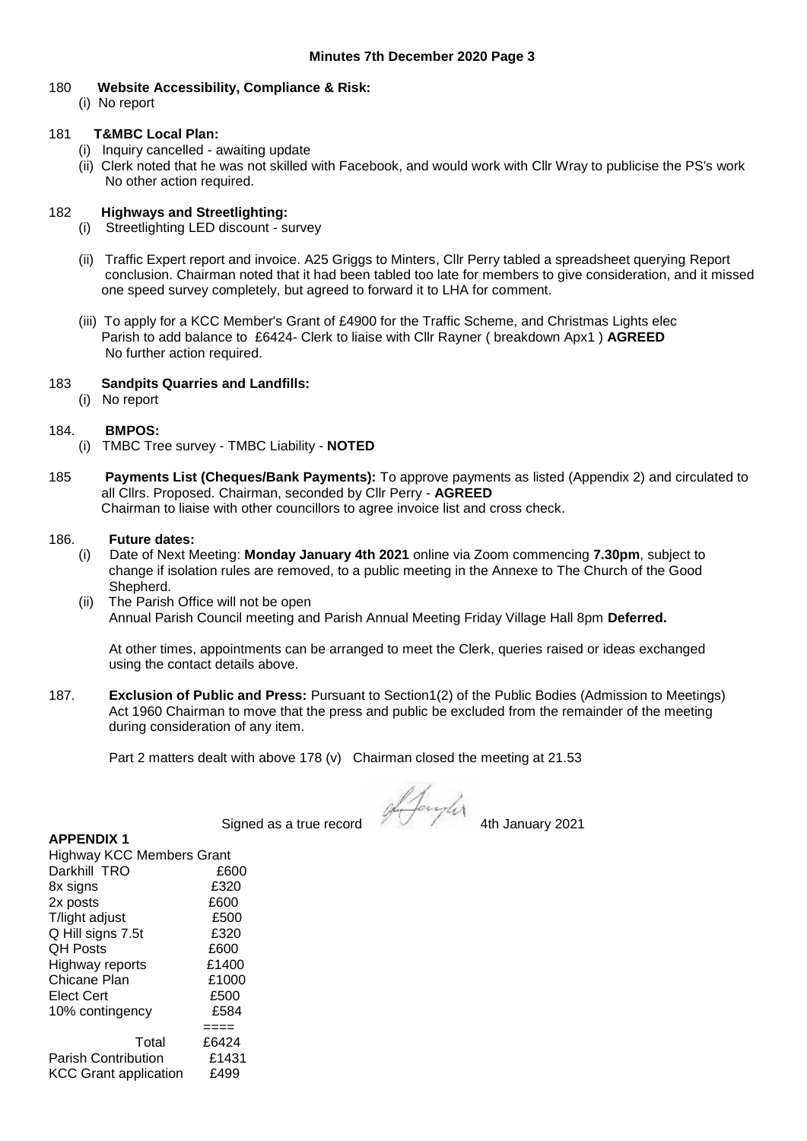#### 180 **Website Accessibility, Compliance & Risk:**

(i) No report

#### 181 **T&MBC Local Plan:**

- (i) Inquiry cancelled awaiting update
- (ii) Clerk noted that he was not skilled with Facebook, and would work with Cllr Wray to publicise the PS's work No other action required.

### 182 **Highways and Streetlighting:**

- (i) Streetlighting LED discount survey
- (ii) Traffic Expert report and invoice. A25 Griggs to Minters, Cllr Perry tabled a spreadsheet querying Report conclusion. Chairman noted that it had been tabled too late for members to give consideration, and it missed one speed survey completely, but agreed to forward it to LHA for comment.
- (iii) To apply for a KCC Member's Grant of £4900 for the Traffic Scheme, and Christmas Lights elec Parish to add balance to £6424- Clerk to liaise with Cllr Rayner ( breakdown Apx1 ) **AGREED** No further action required.

#### 183 **Sandpits Quarries and Landfills:**

(i) No report

#### 184. **BMPOS:**

- (i) TMBC Tree survey TMBC Liability **NOTED**
- 185 **Payments List (Cheques/Bank Payments):** To approve payments as listed (Appendix 2) and circulated to all Cllrs. Proposed. Chairman, seconded by Cllr Perry - **AGREED** Chairman to liaise with other councillors to agree invoice list and cross check.

#### 186. **Future dates:**

- (i) Date of Next Meeting: **Monday January 4th 2021** online via Zoom commencing **7.30pm**, subject to change if isolation rules are removed, to a public meeting in the Annexe to The Church of the Good Shepherd.
- (ii) The Parish Office will not be open Annual Parish Council meeting and Parish Annual Meeting Friday Village Hall 8pm **Deferred.**

 At other times, appointments can be arranged to meet the Clerk, queries raised or ideas exchanged using the contact details above.

187. **Exclusion of Public and Press:** Pursuant to Section1(2) of the Public Bodies (Admission to Meetings) Act 1960 Chairman to move that the press and public be excluded from the remainder of the meeting during consideration of any item.

Part 2 matters dealt with above 178 (v) Chairman closed the meeting at 21.53

Signed as a true record and the Signed as a true record

### **APPENDIX 1**

| <b>Highway KCC Members Grant</b> |       |
|----------------------------------|-------|
| Darkhill TRO                     | £600  |
| 8x signs                         | £320  |
| 2x posts                         | £600  |
| T/light adjust                   | £500  |
| Q Hill signs 7.5t                | £320  |
| <b>OH Posts</b>                  | £600  |
| Highway reports                  | £1400 |
| Chicane Plan                     | £1000 |
| <b>Elect Cert</b>                | £500  |
| 10% contingency                  | £584  |
|                                  | ====  |
| Total                            | £6424 |
| <b>Parish Contribution</b>       | £1431 |
| <b>KCC Grant application</b>     | £499  |